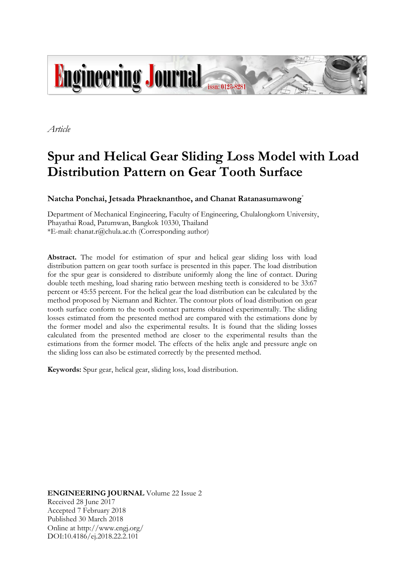

*Article*

# **Spur and Helical Gear Sliding Loss Model with Load Distribution Pattern on Gear Tooth Surface**

**Natcha Ponchai, Jetsada Phraeknanthoe, and Chanat Ratanasumawong**\*

Department of Mechanical Engineering, Faculty of Engineering, Chulalongkorn University, Phayathai Road, Patumwan, Bangkok 10330, Thailand \*E-mail: chanat.r@chula.ac.th (Corresponding author)

**Abstract.** The model for estimation of spur and helical gear sliding loss with load distribution pattern on gear tooth surface is presented in this paper. The load distribution for the spur gear is considered to distribute uniformly along the line of contact. During double teeth meshing, load sharing ratio between meshing teeth is considered to be 33:67 percent or 45:55 percent. For the helical gear the load distribution can be calculated by the method proposed by Niemann and Richter. The contour plots of load distribution on gear tooth surface conform to the tooth contact patterns obtained experimentally. The sliding losses estimated from the presented method are compared with the estimations done by the former model and also the experimental results. It is found that the sliding losses calculated from the presented method are closer to the experimental results than the estimations from the former model. The effects of the helix angle and pressure angle on the sliding loss can also be estimated correctly by the presented method.

**Keywords:** Spur gear, helical gear, sliding loss, load distribution.

**ENGINEERING JOURNAL** Volume 22 Issue 2 Received 28 June 2017 Accepted 7 February 2018 Published 30 March 2018 Online at http://www.engj.org/ DOI:10.4186/ej.2018.22.2.101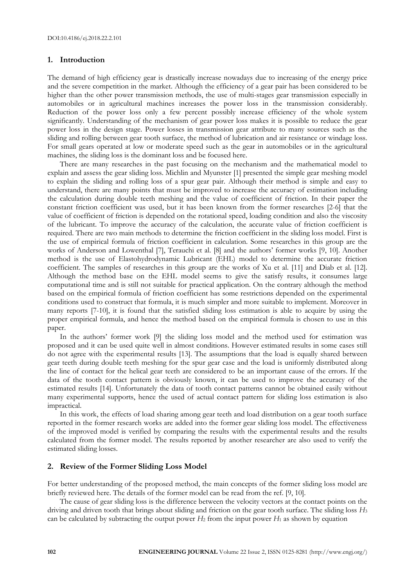## **1. Introduction**

The demand of high efficiency gear is drastically increase nowadays due to increasing of the energy price and the severe competition in the market. Although the efficiency of a gear pair has been considered to be higher than the other power transmission methods, the use of multi-stages gear transmission especially in automobiles or in agricultural machines increases the power loss in the transmission considerably. Reduction of the power loss only a few percent possibly increase efficiency of the whole system significantly. Understanding of the mechanism of gear power loss makes it is possible to reduce the gear power loss in the design stage. Power losses in transmission gear attribute to many sources such as the sliding and rolling between gear tooth surface, the method of lubrication and air resistance or windage loss. For small gears operated at low or moderate speed such as the gear in automobiles or in the agricultural machines, the sliding loss is the dominant loss and be focused here.

There are many researches in the past focusing on the mechanism and the mathematical model to explain and assess the gear sliding loss. Michlin and Myunster [1] presented the simple gear meshing model to explain the sliding and rolling loss of a spur gear pair. Although their method is simple and easy to understand, there are many points that must be improved to increase the accuracy of estimation including the calculation during double teeth meshing and the value of coefficient of friction. In their paper the constant friction coefficient was used, but it has been known from the former researches [2-6] that the value of coefficient of friction is depended on the rotational speed, loading condition and also the viscosity of the lubricant. To improve the accuracy of the calculation, the accurate value of friction coefficient is required. There are two main methods to determine the friction coefficient in the sliding loss model. First is the use of empirical formula of friction coefficient in calculation. Some researches in this group are the works of Anderson and Lowenthal [7], Terauchi et al. [8] and the authors' former works [9, 10]. Another method is the use of Elastohydrodynamic Lubricant (EHL) model to determine the accurate friction coefficient. The samples of researches in this group are the works of Xu et al. [11] and Diab et al. [12]. Although the method base on the EHL model seems to give the satisfy results, it consumes large computational time and is still not suitable for practical application. On the contrary although the method based on the empirical formula of friction coefficient has some restrictions depended on the experimental conditions used to construct that formula, it is much simpler and more suitable to implement. Moreover in many reports [7-10], it is found that the satisfied sliding loss estimation is able to acquire by using the proper empirical formula, and hence the method based on the empirical formula is chosen to use in this paper.

In the authors' former work [9] the sliding loss model and the method used for estimation was proposed and it can be used quite well in almost conditions. However estimated results in some cases still do not agree with the experimental results [13]. The assumptions that the load is equally shared between gear teeth during double teeth meshing for the spur gear case and the load is uniformly distributed along the line of contact for the helical gear teeth are considered to be an important cause of the errors. If the data of the tooth contact pattern is obviously known, it can be used to improve the accuracy of the estimated results [14]. Unfortunately the data of tooth contact patterns cannot be obtained easily without many experimental supports, hence the used of actual contact pattern for sliding loss estimation is also impractical.

In this work, the effects of load sharing among gear teeth and load distribution on a gear tooth surface reported in the former research works are added into the former gear sliding loss model. The effectiveness of the improved model is verified by comparing the results with the experimental results and the results calculated from the former model. The results reported by another researcher are also used to verify the estimated sliding losses.

## **2. Review of the Former Sliding Loss Model**

For better understanding of the proposed method, the main concepts of the former sliding loss model are briefly reviewed here. The details of the former model can be read from the ref. [9, 10].

The cause of gear sliding loss is the difference between the velocity vectors at the contact points on the driving and driven tooth that brings about sliding and friction on the gear tooth surface. The sliding loss *H*<sup>3</sup> can be calculated by subtracting the output power  $H_2$  from the input power  $H_1$  as shown by equation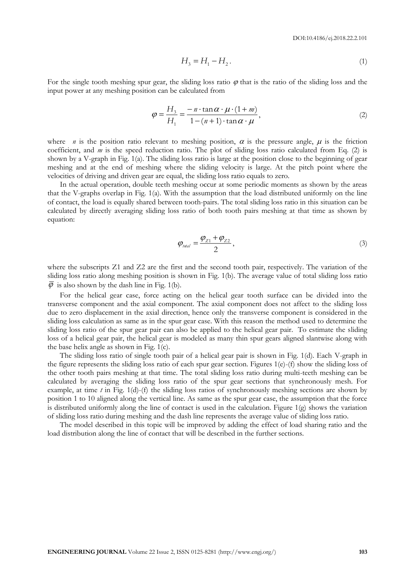$$
H_3 = H_1 - H_2. \tag{1}
$$

For the single tooth meshing spur gear, the sliding loss ratio  $\varphi$  that is the ratio of the sliding loss and the input power at any meshing position can be calculated from

$$
\varphi = \frac{H_3}{H_1} = \frac{-n \cdot \tan \alpha \cdot \mu \cdot (1+m)}{1 - (n+1) \cdot \tan \alpha \cdot \mu},\tag{2}
$$

where *n* is the position ratio relevant to meshing position,  $\alpha$  is the pressure angle,  $\mu$  is the friction coefficient, and *m* is the speed reduction ratio. The plot of sliding loss ratio calculated from Eq. (2) is shown by a V-graph in Fig. 1(a). The sliding loss ratio is large at the position close to the beginning of gear meshing and at the end of meshing where the sliding velocity is large. At the pitch point where the velocities of driving and driven gear are equal, the sliding loss ratio equals to zero.

In the actual operation, double teeth meshing occur at some periodic moments as shown by the areas that the V-graphs overlap in Fig. 1(a). With the assumption that the load distributed uniformly on the line of contact, the load is equally shared between tooth-pairs. The total sliding loss ratio in this situation can be calculated by directly averaging sliding loss ratio of both tooth pairs meshing at that time as shown by equation:

$$
\varphi_{\text{total}} = \frac{\varphi_{Z1} + \varphi_{Z2}}{2},\tag{3}
$$

where the subscripts Z1 and Z2 are the first and the second tooth pair, respectively. The variation of the sliding loss ratio along meshing position is shown in Fig. 1(b). The average value of total sliding loss ratio  $\overline{\varphi}$  is also shown by the dash line in Fig. 1(b).

For the helical gear case, force acting on the helical gear tooth surface can be divided into the transverse component and the axial component. The axial component does not affect to the sliding loss due to zero displacement in the axial direction, hence only the transverse component is considered in the sliding loss calculation as same as in the spur gear case. With this reason the method used to determine the sliding loss ratio of the spur gear pair can also be applied to the helical gear pair. To estimate the sliding loss of a helical gear pair, the helical gear is modeled as many thin spur gears aligned slantwise along with the base helix angle as shown in Fig. 1(c).

**ENGINE CONFIGURE CONFIGURE CONFIGURE CONFIGURE CONFIGURE CONFIGURE 2, ISSN 0125-8281 (http://www.engi.org/) 2 H**3 **CONFIGURE CONFIGURE CONFIGURE CONFIGURE 2, ISSN 0125-8281 (http://www.engile.graphy.org/) <b>103 H**3 The sliding loss ratio of single tooth pair of a helical gear pair is shown in Fig. 1(d). Each V-graph in the figure represents the sliding loss ratio of each spur gear section. Figures 1(e)-(f) show the sliding loss of the other tooth pairs meshing at that time. The total sliding loss ratio during multi-teeth meshing can be calculated by averaging the sliding loss ratio of the spur gear sections that synchronously mesh. For example, at time *t* in Fig. 1(d)-(f) the sliding loss ratios of synchronously meshing sections are shown by position 1 to 10 aligned along the vertical line. As same as the spur gear case, the assumption that the force is distributed uniformly along the line of contact is used in the calculation. Figure 1(g) shows the variation of sliding loss ratio during meshing and the dash line represents the average value of sliding loss ratio.

The model described in this topic will be improved by adding the effect of load sharing ratio and the load distribution along the line of contact that will be described in the further sections.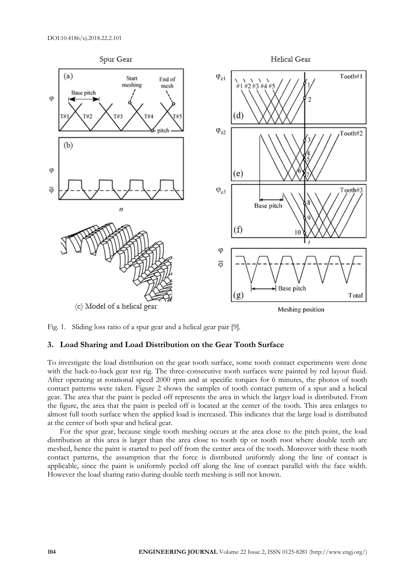

Fig. 1. Sliding loss ratio of a spur gear and a helical gear pair [9].

## **3. Load Sharing and Load Distribution on the Gear Tooth Surface**

To investigate the load distribution on the gear tooth surface, some tooth contact experiments were done with the back-to-back gear test rig. The three-consecutive tooth surfaces were painted by red layout fluid. After operating at rotational speed 2000 rpm and at specific torques for 6 minutes, the photos of tooth contact patterns were taken. Figure 2 shows the samples of tooth contact pattern of a spur and a helical gear. The area that the paint is peeled off represents the area in which the larger load is distributed. From the figure, the area that the paint is peeled off is located at the center of the tooth. This area enlarges to almost full tooth surface when the applied load is increased. This indicates that the large load is distributed at the center of both spur and helical gear.

For the spur gear, because single tooth meshing occurs at the area close to the pitch point, the load distribution at this area is larger than the area close to tooth tip or tooth root where double teeth are meshed, hence the paint is started to peel off from the center area of the tooth. Moreover with these tooth contact patterns, the assumption that the force is distributed uniformly along the line of contact is applicable, since the paint is uniformly peeled off along the line of contact parallel with the face width. However the load sharing ratio during double teeth meshing is still not known.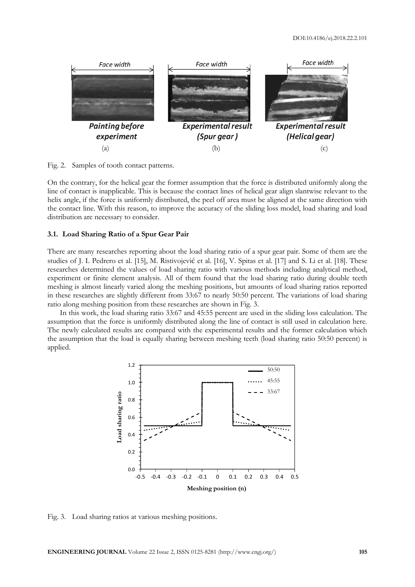

Fig. 2. Samples of tooth contact patterns.

On the contrary, for the helical gear the former assumption that the force is distributed uniformly along the line of contact is inapplicable. This is because the contact lines of helical gear align slantwise relevant to the helix angle, if the force is uniformly distributed, the peel off area must be aligned at the same direction with the contact line. With this reason, to improve the accuracy of the sliding loss model, load sharing and load distribution are necessary to consider.

#### **3.1. Load Sharing Ratio of a Spur Gear Pair**

There are many researches reporting about the load sharing ratio of a spur gear pair. Some of them are the studies of J. I. Pedrero et al. [15], M. Ristivojević et al. [16], V. Spitas et al. [17] and S. Li et al. [18]. These researches determined the values of load sharing ratio with various methods including analytical method, experiment or finite element analysis. All of them found that the load sharing ratio during double teeth meshing is almost linearly varied along the meshing positions, but amounts of load sharing ratios reported in these researches are slightly different from 33:67 to nearly 50:50 percent. The variations of load sharing ratio along meshing position from these researches are shown in Fig. 3.

In this work, the load sharing ratio 33:67 and 45:55 percent are used in the sliding loss calculation. The assumption that the force is uniformly distributed along the line of contact is still used in calculation here. The newly calculated results are compared with the experimental results and the former calculation which the assumption that the load is equally sharing between meshing teeth (load sharing ratio 50:50 percent) is applied.



Fig. 3. Load sharing ratios at various meshing positions.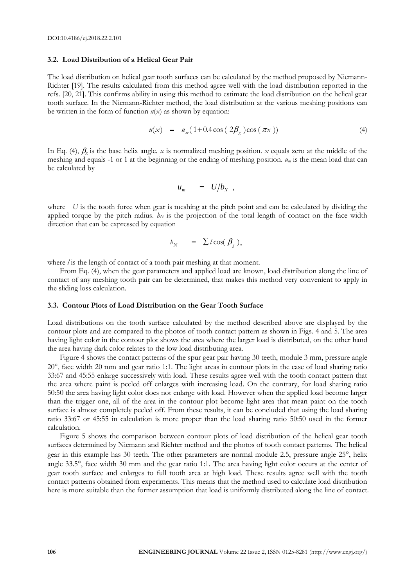#### **3.2. Load Distribution of a Helical Gear Pair**

The load distribution on helical gear tooth surfaces can be calculated by the method proposed by Niemann-Richter [19]. The results calculated from this method agree well with the load distribution reported in the refs. [20, 21]. This confirms ability in using this method to estimate the load distribution on the helical gear tooth surface. In the Niemann-Richter method, the load distribution at the various meshing positions can be written in the form of function  $u(x)$  as shown by equation:

$$
u(x) = u_m(1 + 0.4\cos(2\beta_g)\cos(\pi x))
$$
\n(4)

In Eq. (4),  $\beta_g$  is the base helix angle. *x* is normalized meshing position. *x* equals zero at the middle of the meshing and equals -1 or 1 at the beginning or the ending of meshing position. *u<sup>m</sup>* is the mean load that can be calculated by

$$
u_m = U/b_N ,
$$

where *U* is the tooth force when gear is meshing at the pitch point and can be calculated by dividing the applied torque by the pitch radius.  $b_N$  is the projection of the total length of contact on the face width direction that can be expressed by equation

$$
b_N = \sum l \cos(\beta_g),
$$

where *l* is the length of contact of a tooth pair meshing at that moment.

From Eq. (4), when the gear parameters and applied load are known, load distribution along the line of contact of any meshing tooth pair can be determined, that makes this method very convenient to apply in the sliding loss calculation.

#### **3.3. Contour Plots of Load Distribution on the Gear Tooth Surface**

Load distributions on the tooth surface calculated by the method described above are displayed by the contour plots and are compared to the photos of tooth contact pattern as shown in Figs. 4 and 5. The area having light color in the contour plot shows the area where the larger load is distributed, on the other hand the area having dark color relates to the low load distributing area.

Figure 4 shows the contact patterns of the spur gear pair having 30 teeth, module 3 mm, pressure angle 20, face width 20 mm and gear ratio 1:1. The light areas in contour plots in the case of load sharing ratio 33:67 and 45:55 enlarge successively with load. These results agree well with the tooth contact pattern that the area where paint is peeled off enlarges with increasing load. On the contrary, for load sharing ratio 50:50 the area having light color does not enlarge with load. However when the applied load become larger than the trigger one, all of the area in the contour plot become light area that mean paint on the tooth surface is almost completely peeled off. From these results, it can be concluded that using the load sharing ratio 33:67 or 45:55 in calculation is more proper than the load sharing ratio 50:50 used in the former calculation.

Figure 5 shows the comparison between contour plots of load distribution of the helical gear tooth surfaces determined by Niemann and Richter method and the photos of tooth contact patterns. The helical gear in this example has 30 teeth. The other parameters are normal module 2.5, pressure angle 25°, helix angle 33.5°, face width 30 mm and the gear ratio 1:1. The area having light color occurs at the center of gear tooth surface and enlarges to full tooth area at high load. These results agree well with the tooth contact patterns obtained from experiments. This means that the method used to calculate load distribution here is more suitable than the former assumption that load is uniformly distributed along the line of contact.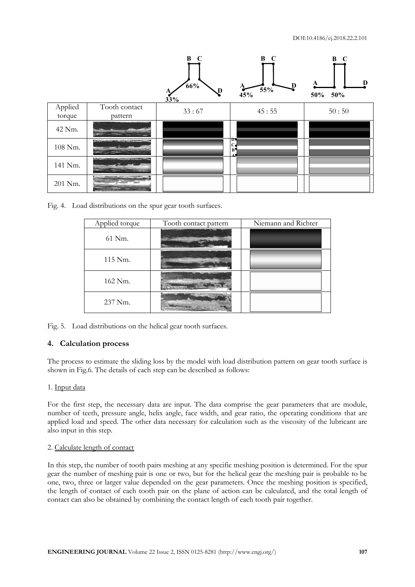

Fig. 4. Load distributions on the spur gear tooth surfaces.

| Applied torque | Tooth contact pattern | Niemann and Richter |
|----------------|-----------------------|---------------------|
| 61 Nm.         |                       |                     |
| 115 Nm.        |                       |                     |
| 162 Nm.        |                       |                     |
| 237 Nm.        |                       |                     |

Fig. 5. Load distributions on the helical gear tooth surfaces.

# **4. Calculation process**

The process to estimate the sliding loss by the model with load distribution pattern on gear tooth surface is shown in Fig.6. The details of each step can be described as follows:

# 1. Input data

For the first step, the necessary data are input. The data comprise the gear parameters that are module, number of teeth, pressure angle, helix angle, face width, and gear ratio, the operating conditions that are applied load and speed. The other data necessary for calculation such as the viscosity of the lubricant are also input in this step.

## 2. Calculate length of contact

In this step, the number of tooth pairs meshing at any specific meshing position is determined. For the spur gear the number of meshing pair is one or two, but for the helical gear the meshing pair is probable to be one, two, three or larger value depended on the gear parameters. Once the meshing position is specified, the length of contact of each tooth pair on the plane of action can be calculated, and the total length of contact can also be obtained by combining the contact length of each tooth pair together.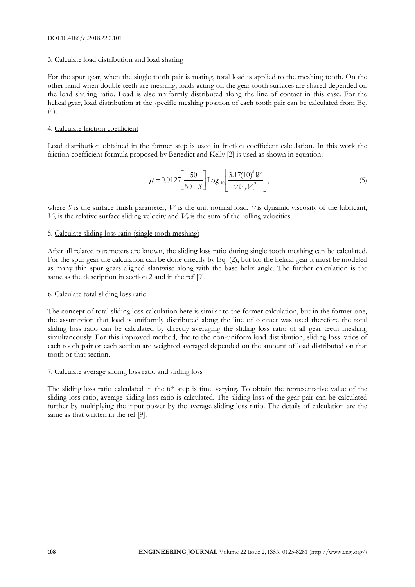## 3. Calculate load distribution and load sharing

For the spur gear, when the single tooth pair is mating, total load is applied to the meshing tooth. On the other hand when double teeth are meshing, loads acting on the gear tooth surfaces are shared depended on the load sharing ratio. Load is also uniformly distributed along the line of contact in this case. For the helical gear, load distribution at the specific meshing position of each tooth pair can be calculated from Eq.  $(4).$ 

## 4. Calculate friction coefficient

Load distribution obtained in the former step is used in friction coefficient calculation. In this work the friction coefficient formula proposed by Benedict and Kelly [2] is used as shown in equation:

$$
\mu = 0.0127 \left[ \frac{50}{50 - S} \right] \text{Log}_{10} \left[ \frac{3.17(10)^8 W}{\nu V_s V_r^2} \right],\tag{5}
$$

where *S* is the surface finish parameter, *W* is the unit normal load,  $\nu$  is dynamic viscosity of the lubricant,  $V_s$  is the relative surface sliding velocity and  $V_t$  is the sum of the rolling velocities.

## 5. Calculate sliding loss ratio (single tooth meshing)

After all related parameters are known, the sliding loss ratio during single tooth meshing can be calculated. For the spur gear the calculation can be done directly by Eq. (2), but for the helical gear it must be modeled as many thin spur gears aligned slantwise along with the base helix angle. The further calculation is the same as the description in section 2 and in the ref [9].

## 6. Calculate total sliding loss ratio

The concept of total sliding loss calculation here is similar to the former calculation, but in the former one, the assumption that load is uniformly distributed along the line of contact was used therefore the total sliding loss ratio can be calculated by directly averaging the sliding loss ratio of all gear teeth meshing simultaneously. For this improved method, due to the non-uniform load distribution, sliding loss ratios of each tooth pair or each section are weighted averaged depended on the amount of load distributed on that tooth or that section.

## 7. Calculate average sliding loss ratio and sliding loss

The sliding loss ratio calculated in the 6<sup>th</sup> step is time varying. To obtain the representative value of the sliding loss ratio, average sliding loss ratio is calculated. The sliding loss of the gear pair can be calculated further by multiplying the input power by the average sliding loss ratio. The details of calculation are the same as that written in the ref [9].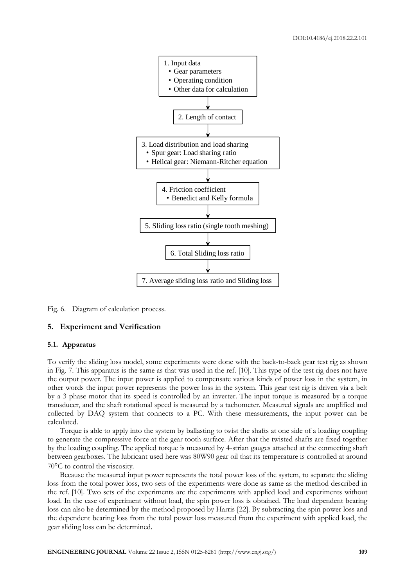

Fig. 6. Diagram of calculation process.

### **5. Experiment and Verification**

#### **5.1. Apparatus**

To verify the sliding loss model, some experiments were done with the back-to-back gear test rig as shown in Fig. 7. This apparatus is the same as that was used in the ref. [10]. This type of the test rig does not have the output power. The input power is applied to compensate various kinds of power loss in the system, in other words the input power represents the power loss in the system. This gear test rig is driven via a belt by a 3 phase motor that its speed is controlled by an inverter. The input torque is measured by a torque transducer, and the shaft rotational speed is measured by a tachometer. Measured signals are amplified and collected by DAQ system that connects to a PC. With these measurements, the input power can be calculated.

Torque is able to apply into the system by ballasting to twist the shafts at one side of a loading coupling to generate the compressive force at the gear tooth surface. After that the twisted shafts are fixed together by the loading coupling. The applied torque is measured by 4-strian gauges attached at the connecting shaft between gearboxes. The lubricant used here was 80W90 gear oil that its temperature is controlled at around  $70^{\circ}$ C to control the viscosity.

Because the measured input power represents the total power loss of the system, to separate the sliding loss from the total power loss, two sets of the experiments were done as same as the method described in the ref. [10]. Two sets of the experiments are the experiments with applied load and experiments without load. In the case of experiment without load, the spin power loss is obtained. The load dependent bearing loss can also be determined by the method proposed by Harris [22]. By subtracting the spin power loss and the dependent bearing loss from the total power loss measured from the experiment with applied load, the gear sliding loss can be determined.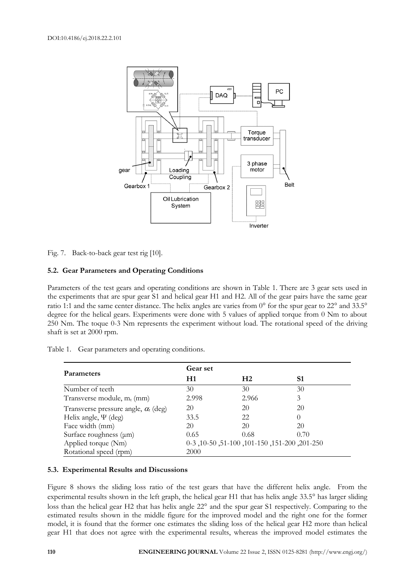

Fig. 7. Back-to-back gear test rig [10].

## **5.2. Gear Parameters and Operating Conditions**

Parameters of the test gears and operating conditions are shown in Table 1. There are 3 gear sets used in the experiments that are spur gear S1 and helical gear H1 and H2. All of the gear pairs have the same gear ratio 1:1 and the same center distance. The helix angles are varies from 0° for the spur gear to 22° and 33.5° degree for the helical gears. Experiments were done with 5 values of applied torque from 0 Nm to about 250 Nm. The toque 0-3 Nm represents the experiment without load. The rotational speed of the driving shaft is set at 2000 rpm.

|                                               | Gear set |                                                     |          |
|-----------------------------------------------|----------|-----------------------------------------------------|----------|
| <b>Parameters</b>                             | H1       | H <sub>2</sub>                                      | S1       |
| Number of teeth                               | 30       | 30                                                  | 30       |
| Transverse module, $m_t$ (mm)                 | 2.998    | 2.966                                               | 3        |
| Transverse pressure angle, $\alpha_{i}$ (deg) | 20       | 20                                                  | 20       |
| Helix angle, $\Psi$ (deg)                     | 33.5     | 22                                                  | $\Omega$ |
| Face width (mm)                               | 20       | 20                                                  | 20       |
| Surface roughness $(\mu m)$                   | 0.65     | 0.68                                                | 0.70     |
| Applied torque (Nm)                           |          | 0-251-200, 151-200, 151-200, 101-150, 6-0, 6-0, 6-0 |          |
| Rotational speed (rpm)                        | 2000     |                                                     |          |

Table 1. Gear parameters and operating conditions.

## **5.3. Experimental Results and Discussions**

Figure 8 shows the sliding loss ratio of the test gears that have the different helix angle. From the experimental results shown in the left graph, the helical gear H1 that has helix angle 33.5° has larger sliding loss than the helical gear H2 that has helix angle 22° and the spur gear S1 respectively. Comparing to the estimated results shown in the middle figure for the improved model and the right one for the former model, it is found that the former one estimates the sliding loss of the helical gear H2 more than helical gear H1 that does not agree with the experimental results, whereas the improved model estimates the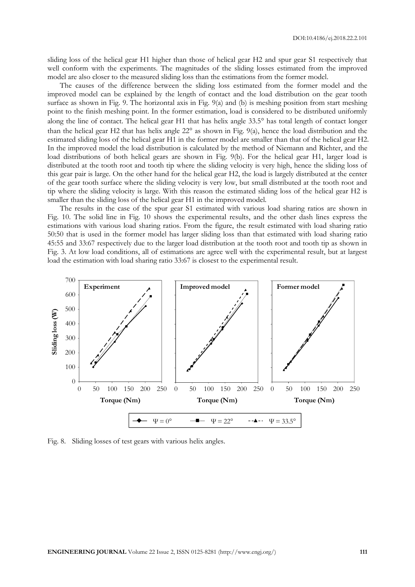sliding loss of the helical gear H1 higher than those of helical gear H2 and spur gear S1 respectively that well conform with the experiments. The magnitudes of the sliding losses estimated from the improved model are also closer to the measured sliding loss than the estimations from the former model.

The causes of the difference between the sliding loss estimated from the former model and the improved model can be explained by the length of contact and the load distribution on the gear tooth surface as shown in Fig. 9. The horizontal axis in Fig. 9(a) and (b) is meshing position from start meshing point to the finish meshing point. In the former estimation, load is considered to be distributed uniformly along the line of contact. The helical gear H1 that has helix angle 33.5° has total length of contact longer than the helical gear H2 that has helix angle  $22^{\circ}$  as shown in Fig. 9(a), hence the load distribution and the estimated sliding loss of the helical gear H1 in the former model are smaller than that of the helical gear H2. In the improved model the load distribution is calculated by the method of Niemann and Richter, and the load distributions of both helical gears are shown in Fig. 9(b). For the helical gear H1, larger load is distributed at the tooth root and tooth tip where the sliding velocity is very high, hence the sliding loss of this gear pair is large. On the other hand for the helical gear H2, the load is largely distributed at the center of the gear tooth surface where the sliding velocity is very low, but small distributed at the tooth root and tip where the sliding velocity is large. With this reason the estimated sliding loss of the helical gear H2 is smaller than the sliding loss of the helical gear H1 in the improved model.

The results in the case of the spur gear S1 estimated with various load sharing ratios are shown in Fig. 10. The solid line in Fig. 10 shows the experimental results, and the other dash lines express the estimations with various load sharing ratios. From the figure, the result estimated with load sharing ratio 50:50 that is used in the former model has larger sliding loss than that estimated with load sharing ratio 45:55 and 33:67 respectively due to the larger load distribution at the tooth root and tooth tip as shown in Fig. 3. At low load conditions, all of estimations are agree well with the experimental result, but at largest load the estimation with load sharing ratio 33:67 is closest to the experimental result.



Fig. 8. Sliding losses of test gears with various helix angles.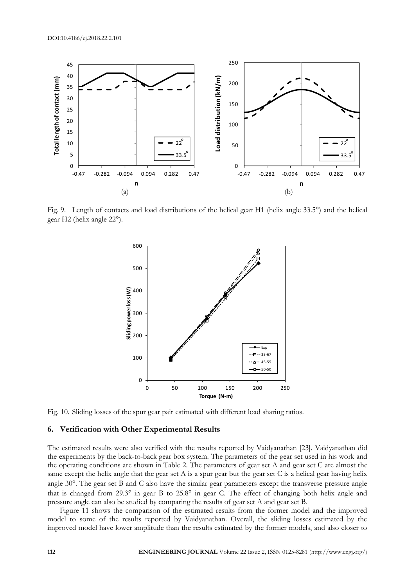

Fig. 9. Length of contacts and load distributions of the helical gear H1 (helix angle  $33.5^{\circ}$ ) and the helical gear H2 (helix angle 22°).



Fig. 10. Sliding losses of the spur gear pair estimated with different load sharing ratios.

#### **6. Verification with Other Experimental Results**

The estimated results were also verified with the results reported by Vaidyanathan [23]. Vaidyanathan did the experiments by the back-to-back gear box system. The parameters of the gear set used in his work and the operating conditions are shown in Table 2. The parameters of gear set A and gear set C are almost the same except the helix angle that the gear set A is a spur gear but the gear set C is a helical gear having helix angle 30°. The gear set B and C also have the similar gear parameters except the transverse pressure angle that is changed from 29.3° in gear B to 25.8° in gear C. The effect of changing both helix angle and pressure angle can also be studied by comparing the results of gear set A and gear set B.

Figure 11 shows the comparison of the estimated results from the former model and the improved model to some of the results reported by Vaidyanathan. Overall, the sliding losses estimated by the improved model have lower amplitude than the results estimated by the former models, and also closer to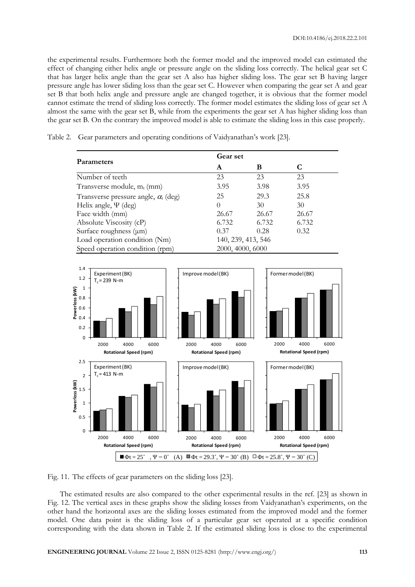the experimental results. Furthermore both the former model and the improved model can estimated the effect of changing either helix angle or pressure angle on the sliding loss correctly. The helical gear set C that has larger helix angle than the gear set A also has higher sliding loss. The gear set B having larger pressure angle has lower sliding loss than the gear set C. However when comparing the gear set A and gear set B that both helix angle and pressure angle are changed together, it is obvious that the former model cannot estimate the trend of sliding loss correctly. The former model estimates the sliding loss of gear set A almost the same with the gear set B, while from the experiments the gear set A has higher sliding loss than the gear set B. On the contrary the improved model is able to estimate the sliding loss in this case properly.

**Parameters Gear set A B C** Number of teeth 23 23 23 Transverse module,  $m_t$  (mm)  $3.95$   $3.98$   $3.95$ Transverse pressure angle,  $\alpha_{t}$  (deg) 25 29.3 25.8 Helix angle,  $\Psi$  (deg)  $0$  30 30 Face width (mm) 26.67 26.67 26.67 Absolute Viscosity (cP) 6.732 6.732 6.732 Surface roughness  $(\mu m)$  0.37 0.28 0.32 Load operation condition (Nm) 140, 239, 413, 546

Table 2. Gear parameters and operating conditions of Vaidyanathan's work [23].

Speed operation condition (rpm) 2000, 4000, 6000



Fig. 11. The effects of gear parameters on the sliding loss [23].

The estimated results are also compared to the other experimental results in the ref. [23] as shown in Fig. 12. The vertical axes in these graphs show the sliding losses from Vaidyanathan's experiments, on the other hand the horizontal axes are the sliding losses estimated from the improved model and the former model. One data point is the sliding loss of a particular gear set operated at a specific condition corresponding with the data shown in Table 2. If the estimated sliding loss is close to the experimental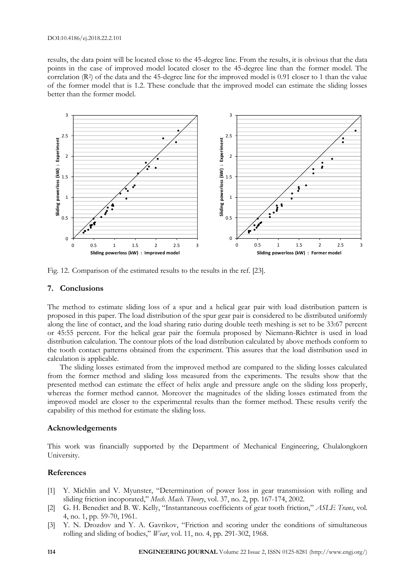#### DOI:10.4186/ej.2018.22.2.101

results, the data point will be located close to the 45-degree line. From the results, it is obvious that the data points in the case of improved model located closer to the 45-degree line than the former model. The correlation (R<sup>2</sup>) of the data and the 45-degree line for the improved model is 0.91 closer to 1 than the value of the former model that is 1.2. These conclude that the improved model can estimate the sliding losses better than the former model.



Fig. 12. Comparison of the estimated results to the results in the ref. [23].

#### **7. Conclusions**

The method to estimate sliding loss of a spur and a helical gear pair with load distribution pattern is proposed in this paper. The load distribution of the spur gear pair is considered to be distributed uniformly along the line of contact, and the load sharing ratio during double teeth meshing is set to be 33:67 percent or 45:55 percent. For the helical gear pair the formula proposed by Niemann-Richter is used in load distribution calculation. The contour plots of the load distribution calculated by above methods conform to the tooth contact patterns obtained from the experiment. This assures that the load distribution used in calculation is applicable.

The sliding losses estimated from the improved method are compared to the sliding losses calculated from the former method and sliding loss measured from the experiments. The results show that the presented method can estimate the effect of helix angle and pressure angle on the sliding loss properly, whereas the former method cannot. Moreover the magnitudes of the sliding losses estimated from the improved model are closer to the experimental results than the former method. These results verify the capability of this method for estimate the sliding loss.

#### **Acknowledgements**

This work was financially supported by the Department of Mechanical Engineering, Chulalongkorn University.

## **References**

- [1] Y. Michlin and V. Myunster, "Determination of power loss in gear transmission with rolling and sliding friction incoporated," *Mech. Mach. Theory*, vol. 37, no. 2, pp. 167-174, 2002.
- [2] G. H. Benedict and B. W. Kelly, "Instantaneous coefficients of gear tooth friction," *ASLE Trans*, vol. 4, no. 1, pp. 59-70, 1961.
- [3] Y. N. Drozdov and Y. A. Gavrikov, "Friction and scoring under the conditions of simultaneous rolling and sliding of bodies," *Wear*, vol. 11, no. 4, pp. 291-302, 1968.